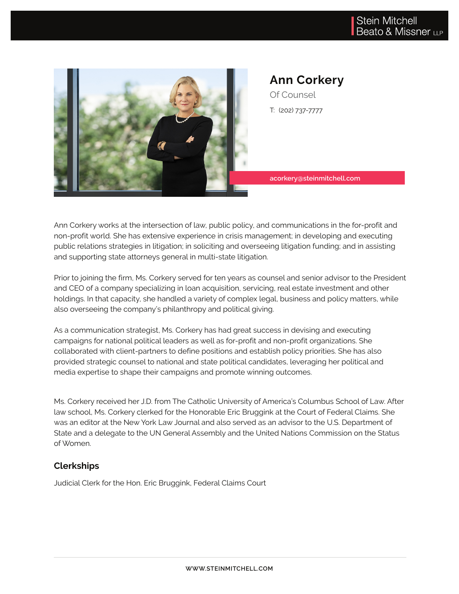

# **Ann Corkery** Of Counsel

T: (202) 737-7777

**acorkery@steinmitchell.com**

Ann Corkery works at the intersection of law, public policy, and communications in the for-profit and non-profit world. She has extensive experience in crisis management; in developing and executing public relations strategies in litigation; in soliciting and overseeing litigation funding; and in assisting and supporting state attorneys general in multi-state litigation.

Prior to joining the firm, Ms. Corkery served for ten years as counsel and senior advisor to the President and CEO of a company specializing in loan acquisition, servicing, real estate investment and other holdings. In that capacity, she handled a variety of complex legal, business and policy matters, while also overseeing the company's philanthropy and political giving.

As a communication strategist, Ms. Corkery has had great success in devising and executing campaigns for national political leaders as well as for-profit and non-profit organizations. She collaborated with client-partners to define positions and establish policy priorities. She has also provided strategic counsel to national and state political candidates, leveraging her political and media expertise to shape their campaigns and promote winning outcomes.

Ms. Corkery received her J.D. from The Catholic University of America's Columbus School of Law. After law school, Ms. Corkery clerked for the Honorable Eric Bruggink at the Court of Federal Claims. She was an editor at the New York Law Journal and also served as an advisor to the U.S. Department of State and a delegate to the UN General Assembly and the United Nations Commission on the Status of Women.

### **Clerkships**

Judicial Clerk for the Hon. Eric Bruggink, Federal Claims Court